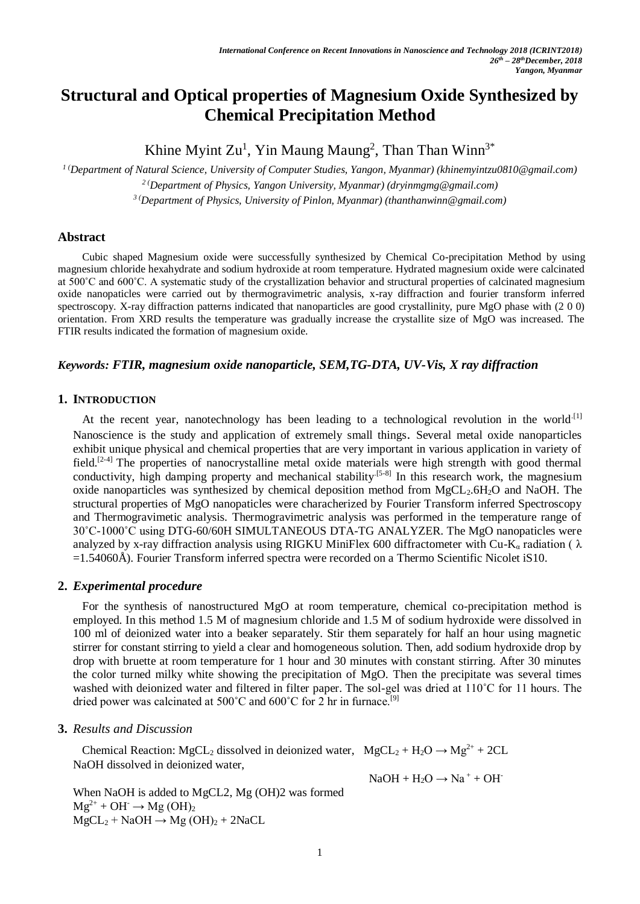# **Structural and Optical properties of Magnesium Oxide Synthesized by Chemical Precipitation Method**

Khine Myint  $Zu<sup>1</sup>$ , Yin Maung Maung<sup>2</sup>, Than Than Winn<sup>3\*</sup>

*1 (Department of Natural Science, University of Computer Studies, Yangon, Myanmar) (khinemyintzu0810@gmail.com) <sup>2</sup> (Department of Physics, Yangon University, Myanmar) (dryinmgmg@gmail.com)* 

*<sup>3</sup> (Department of Physics, University of Pinlon, Myanmar) (thanthanwinn@gmail.com)* 

### **Abstract**

Cubic shaped Magnesium oxide were successfully synthesized by Chemical Co-precipitation Method by using magnesium chloride hexahydrate and sodium hydroxide at room temperature. Hydrated magnesium oxide were calcinated at 500˚C and 600˚C. A systematic study of the crystallization behavior and structural properties of calcinated magnesium oxide nanopaticles were carried out by thermogravimetric analysis, x-ray diffraction and fourier transform inferred spectroscopy. X-ray diffraction patterns indicated that nanoparticles are good crystallinity, pure MgO phase with (2 0 0) orientation. From XRD results the temperature was gradually increase the crystallite size of MgO was increased. The FTIR results indicated the formation of magnesium oxide.

# *Keywords: FTIR, magnesium oxide nanoparticle, SEM,TG-DTA, UV-Vis, X ray diffraction*

## **1. INTRODUCTION**

At the recent year, nanotechnology has been leading to a technological revolution in the world<sup>[1]</sup> Nanoscience is the study and application of extremely small things. Several metal oxide nanoparticles exhibit unique physical and chemical properties that are very important in various application in variety of field.<sup>[2-4]</sup> The properties of nanocrystalline metal oxide materials were high strength with good thermal conductivity, high damping property and mechanical stability<sup>[5-8]</sup> In this research work, the magnesium oxide nanoparticles was synthesized by chemical deposition method from MgCL<sub>2</sub>.6H<sub>2</sub>O and NaOH. The structural properties of MgO nanopaticles were characherized by Fourier Transform inferred Spectroscopy and Thermogravimetic analysis. Thermogravimetric analysis was performed in the temperature range of 30˚C-1000˚C using DTG-60/60H SIMULTANEOUS DTA-TG ANALYZER. The MgO nanopaticles were analyzed by x-ray diffraction analysis using RIGKU MiniFlex 600 diffractometer with Cu-K<sub>a</sub> radiation ( $\lambda$ ) =1.54060Å). Fourier Transform inferred spectra were recorded on a Thermo Scientific Nicolet iS10.

# **2.** *Experimental procedure*

For the synthesis of nanostructured MgO at room temperature, chemical co-precipitation method is employed. In this method 1.5 M of magnesium chloride and 1.5 M of sodium hydroxide were dissolved in 100 ml of deionized water into a beaker separately. Stir them separately for half an hour using magnetic stirrer for constant stirring to yield a clear and homogeneous solution. Then, add sodium hydroxide drop by drop with bruette at room temperature for 1 hour and 30 minutes with constant stirring. After 30 minutes the color turned milky white showing the precipitation of MgO. Then the precipitate was several times washed with deionized water and filtered in filter paper. The sol-gel was dried at 110°C for 11 hours. The dried power was calcinated at  $500^{\circ}$ C and  $600^{\circ}$ C for 2 hr in furnace.<sup>[9]</sup>

#### **3.** *Results and Discussion*

Chemical Reaction: MgCL<sub>2</sub> dissolved in deionized water, MgCL<sub>2</sub> + H<sub>2</sub>O  $\rightarrow$  Mg<sup>2+</sup> + 2CL NaOH dissolved in deionized water,

 $NaOH + H<sub>2</sub>O \rightarrow Na<sup>+</sup> + OH<sup>-</sup>$ 

When NaOH is added to MgCL2, Mg (OH)2 was formed  $Mg^{2+}$  + OH  $\rightarrow$  Mg (OH)<sub>2</sub>  $MgCL_2 + NaOH \rightarrow Mg(OH)_2 + 2NaCL$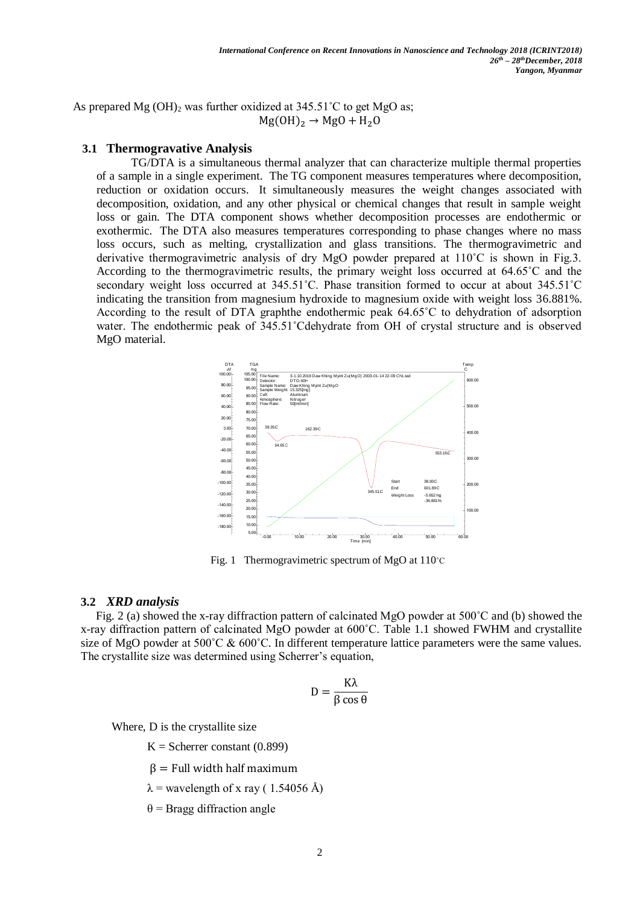As prepared Mg  $(OH)_2$  was further oxidized at 345.51<sup>°</sup>C to get MgO as;  $Mg(OH)<sub>2</sub> \rightarrow MgO + H<sub>2</sub>O$ 

## **3.1 Thermogravative Analysis**

TG/DTA is a simultaneous thermal analyzer that can characterize multiple thermal properties of a sample in a single experiment. The TG component measures temperatures where decomposition, reduction or oxidation occurs. It simultaneously measures the weight changes associated with decomposition, oxidation, and any other physical or chemical changes that result in sample weight loss or gain. The DTA component shows whether decomposition processes are endothermic or exothermic. The DTA also measures temperatures corresponding to phase changes where no mass loss occurs, such as melting, crystallization and glass transitions. The thermogravimetric and derivative thermogravimetric analysis of dry MgO powder prepared at 110˚C is shown in Fig.3. According to the thermogravimetric results, the primary weight loss occurred at 64.65˚C and the secondary weight loss occurred at 345.51°C. Phase transition formed to occur at about 345.51°C indicating the transition from magnesium hydroxide to magnesium oxide with weight loss 36.881%. According to the result of DTA graphthe endothermic peak 64.65˚C to dehydration of adsorption water. The endothermic peak of 345.51˚Cdehydrate from OH of crystal structure and is observed MgO material.



Fig. 1 Thermogravimetric spectrum of MgO at 110˚C

#### **3.2** *XRD analysis*

Fig. 2 (a) showed the x-ray diffraction pattern of calcinated MgO powder at 500˚C and (b) showed the x-ray diffraction pattern of calcinated MgO powder at 600˚C. Table 1.1 showed FWHM and crystallite size of MgO powder at 500°C & 600°C. In different temperature lattice parameters were the same values. The crystallite size was determined using Scherrer's equation,

$$
D = \frac{K\lambda}{\beta \cos \theta}
$$

Where, D is the crystallite size

 $K =$  Scherrer constant (0.899)

 $β = Full width half maximum$ 

 $\lambda$  = wavelength of x ray (1.54056 Å)

 $θ = Bra$ gg diffraction angle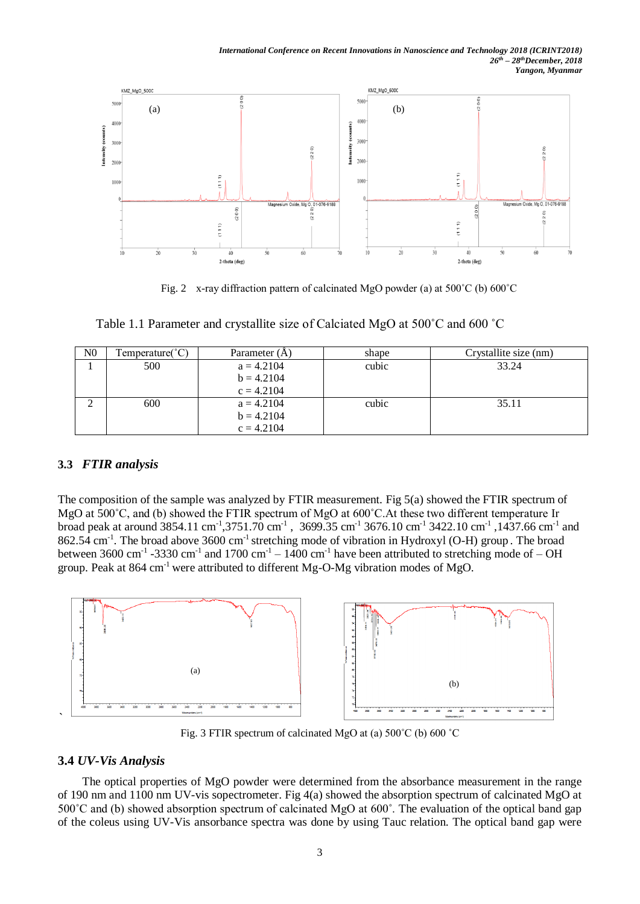

Fig. 2 x-ray diffraction pattern of calcinated MgO powder (a) at 500˚C (b) 600˚C

| N <sub>0</sub> | $Temperature(^{\circ}C)$ | Parameter (A) | shape | Crystallite size (nm) |
|----------------|--------------------------|---------------|-------|-----------------------|
|                | 500                      | $a = 4.2104$  | cubic | 33.24                 |
|                |                          | $b = 4.2104$  |       |                       |
|                |                          | $c = 4.2104$  |       |                       |
|                | 600                      | $a = 4.2104$  | cubic | 35.11                 |
|                |                          | $b = 4.2104$  |       |                       |
|                |                          | $c = 4.2104$  |       |                       |

Table 1.1 Parameter and crystallite size of Calciated MgO at 500˚C and 600 ˚C

# **3.3** *FTIR analysis*

The composition of the sample was analyzed by FTIR measurement. Fig 5(a) showed the FTIR spectrum of MgO at 500˚C, and (b) showed the FTIR spectrum of MgO at 600˚C.At these two different temperature Ir broad peak at around 3854.11 cm<sup>-1</sup>,3751.70 cm<sup>-1</sup>, 3699.35 cm<sup>-1</sup> 3676.10 cm<sup>-1</sup> 3422.10 cm<sup>-1</sup>,1437.66 cm<sup>-1</sup> and  $862.54$  cm<sup>-1</sup>. The broad above 3600 cm<sup>-1</sup> stretching mode of vibration in Hydroxyl (O-H) group. The broad between 3600 cm<sup>-1</sup> -3330 cm<sup>-1</sup> and 1700 cm<sup>-1</sup> – 1400 cm<sup>-1</sup> have been attributed to stretching mode of – OH group. Peak at  $864 \text{ cm}^{-1}$  were attributed to different Mg-O-Mg vibration modes of MgO.



Fig. 3 FTIR spectrum of calcinated MgO at (a) 500˚C (b) 600 ˚C

# **3.4** *UV-Vis Analysis*

The optical properties of MgO powder were determined from the absorbance measurement in the range of 190 nm and 1100 nm UV-vis sopectrometer. Fig 4(a) showed the absorption spectrum of calcinated MgO at 500˚C and (b) showed absorption spectrum of calcinated MgO at 600˚. The evaluation of the optical band gap of the coleus using UV-Vis ansorbance spectra was done by using Tauc relation. The optical band gap were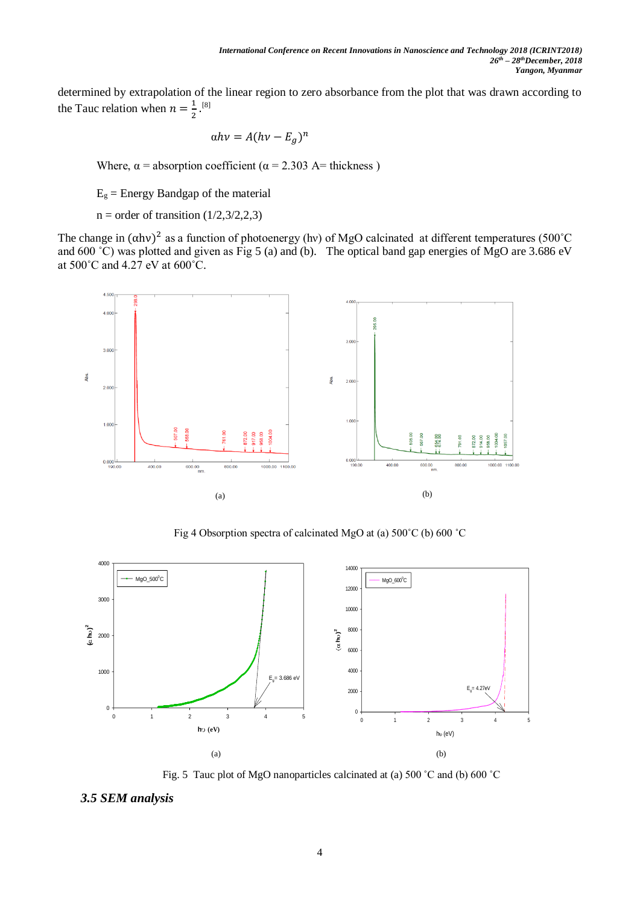determined by extrapolation of the linear region to zero absorbance from the plot that was drawn according to the Tauc relation when  $n = \frac{1}{2}$  $\frac{1}{2}$ .[8]

$$
\alpha h v = A (h v - E_g)^n
$$

Where,  $\alpha$  = absorption coefficient ( $\alpha$  = 2.303 A= thickness)

 $E<sub>g</sub>$  = Energy Bandgap of the material

 $n =$  order of transition (1/2,3/2,2,3)

The change in  $(\alpha h\nu)^2$  as a function of photoenergy (hv) of MgO calcinated at different temperatures (500°C and 600 °C) was plotted and given as Fig 5 (a) and (b). The optical band gap energies of MgO are 3.686 eV at 500˚C and 4.27 eV at 600˚C.



Fig 4 Obsorption spectra of calcinated MgO at (a) 500˚C (b) 600 ˚C



Fig. 5 Tauc plot of MgO nanoparticles calcinated at (a) 500 ˚C and (b) 600 ˚C

*3.5 SEM analysis*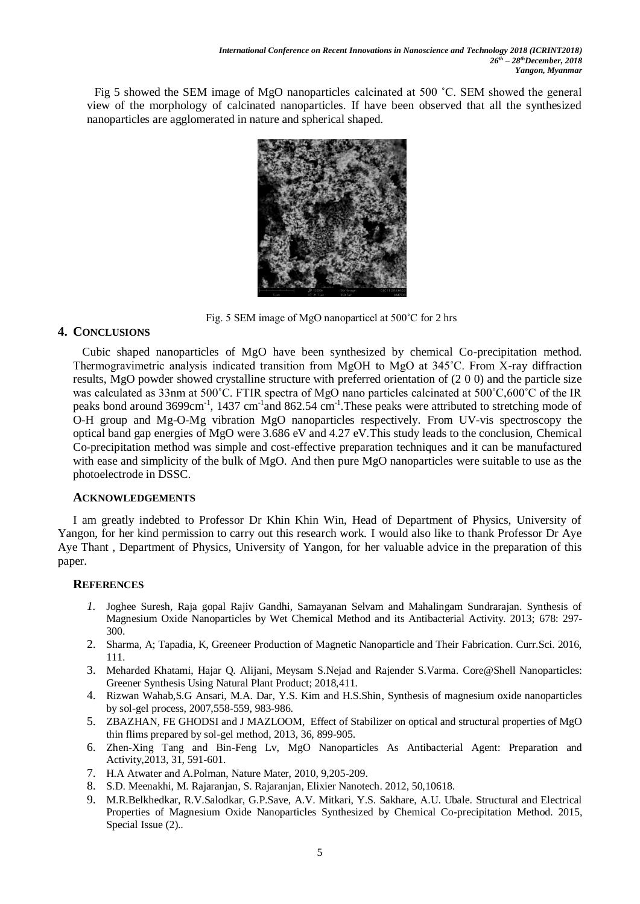Fig 5 showed the SEM image of MgO nanoparticles calcinated at 500 ˚C. SEM showed the general view of the morphology of calcinated nanoparticles. If have been observed that all the synthesized nanoparticles are agglomerated in nature and spherical shaped.



Fig. 5 SEM image of MgO nanoparticel at 500˚C for 2 hrs

# **4. CONCLUSIONS**

Cubic shaped nanoparticles of MgO have been synthesized by chemical Co-precipitation method. Thermogravimetric analysis indicated transition from MgOH to MgO at 345˚C. From X-ray diffraction results, MgO powder showed crystalline structure with preferred orientation of (2 0 0) and the particle size was calculated as 33nm at 500˚C. FTIR spectra of MgO nano particles calcinated at 500˚C,600˚C of the IR peaks bond around 3699cm<sup>-1</sup>, 1437 cm<sup>-1</sup> and 862.54 cm<sup>-1</sup>. These peaks were attributed to stretching mode of O-H group and Mg-O-Mg vibration MgO nanoparticles respectively. From UV-vis spectroscopy the optical band gap energies of MgO were 3.686 eV and  $4.27$  eV. This study leads to the conclusion, Chemical Co-precipitation method was simple and cost-effective preparation techniques and it can be manufactured with ease and simplicity of the bulk of MgO. And then pure MgO nanoparticles were suitable to use as the photoelectrode in DSSC.

# **ACKNOWLEDGEMENTS**

I am greatly indebted to Professor Dr Khin Khin Win, Head of Department of Physics, University of Yangon, for her kind permission to carry out this research work. I would also like to thank Professor Dr Aye Aye Thant , Department of Physics, University of Yangon, for her valuable advice in the preparation of this paper.

# **REFERENCES**

- *1.* Joghee Suresh, Raja gopal Rajiv Gandhi, Samayanan Selvam and Mahalingam Sundrarajan. Synthesis of Magnesium Oxide Nanoparticles by Wet Chemical Method and its Antibacterial Activity. 2013; 678: 297- 300.
- 2. Sharma, A; Tapadia, K, Greeneer Production of Magnetic Nanoparticle and Their Fabrication. Curr.Sci. 2016, 111.
- 3. Meharded Khatami, Hajar Q. Alijani, Meysam S.Nejad and Rajender S.Varma. Core@Shell Nanoparticles: Greener Synthesis Using Natural Plant Product; 2018,411.
- 4. Rizwan Wahab,S.G Ansari, M.A. Dar, Y.S. Kim and H.S.Shin, Synthesis of magnesium oxide nanoparticles by sol-gel process, 2007,558-559, 983-986.
- 5. ZBAZHAN, FE GHODSI and J MAZLOOM, Effect of Stabilizer on optical and structural properties of MgO thin flims prepared by sol-gel method, 2013, 36, 899-905.
- 6. Zhen-Xing Tang and Bin-Feng Lv, MgO Nanoparticles As Antibacterial Agent: Preparation and Activity,2013, 31, 591-601.
- 7. H.A Atwater and A.Polman, Nature Mater, 2010, 9,205-209.
- 8. S.D. Meenakhi, M. Rajaranjan, S. Rajaranjan, Elixier Nanotech. 2012, 50,10618.
- 9. M.R.Belkhedkar, R.V.Salodkar, G.P.Save, A.V. Mitkari, Y.S. Sakhare, A.U. Ubale. Structural and Electrical Properties of Magnesium Oxide Nanoparticles Synthesized by Chemical Co-precipitation Method. 2015, Special Issue (2)..